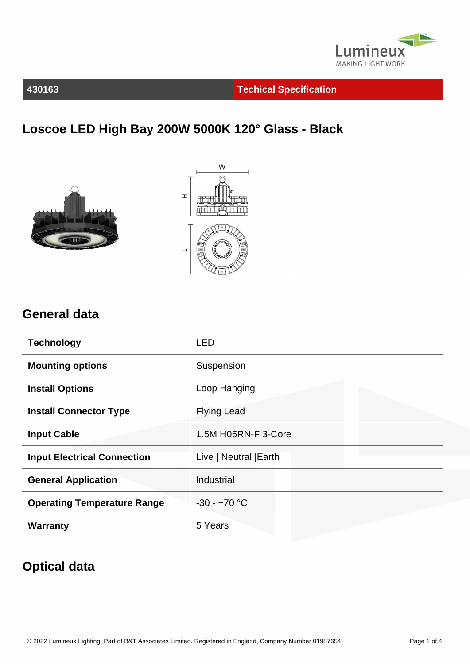

**430163 Techical Specification**

## **Loscoe LED High Bay 200W 5000K 120° Glass - Black**





#### **General data**

| <b>Technology</b>                  | <b>LED</b>             |
|------------------------------------|------------------------|
| <b>Mounting options</b>            | Suspension             |
| <b>Install Options</b>             | Loop Hanging           |
| <b>Install Connector Type</b>      | <b>Flying Lead</b>     |
| <b>Input Cable</b>                 | 1.5M H05RN-F 3-Core    |
| <b>Input Electrical Connection</b> | Live   Neutral   Earth |
| <b>General Application</b>         | Industrial             |
| <b>Operating Temperature Range</b> | $-30 - +70$ °C         |
| <b>Warranty</b>                    | 5 Years                |

#### **Optical data**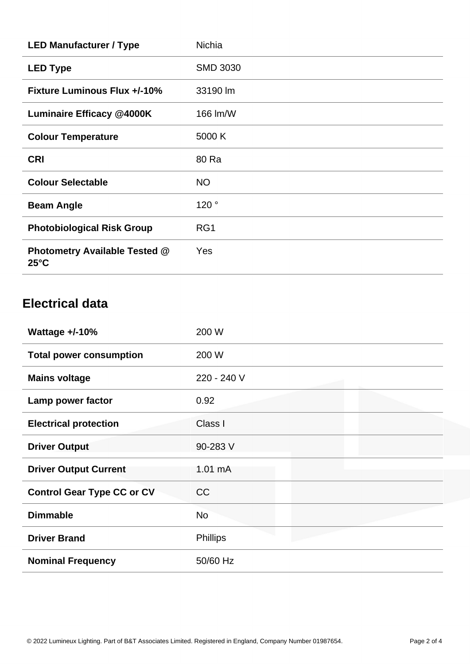| <b>LED Manufacturer / Type</b>                         | <b>Nichia</b>   |
|--------------------------------------------------------|-----------------|
| <b>LED Type</b>                                        | <b>SMD 3030</b> |
| <b>Fixture Luminous Flux +/-10%</b>                    | 33190 lm        |
| <b>Luminaire Efficacy @4000K</b>                       | 166 lm/W        |
| <b>Colour Temperature</b>                              | 5000 K          |
| <b>CRI</b>                                             | 80 Ra           |
| <b>Colour Selectable</b>                               | <b>NO</b>       |
| <b>Beam Angle</b>                                      | 120°            |
| <b>Photobiological Risk Group</b>                      | RG1             |
| <b>Photometry Available Tested @</b><br>$25^{\circ}$ C | <b>Yes</b>      |

#### **Electrical data**

| Wattage $+/-10%$                  | 200 W             |
|-----------------------------------|-------------------|
| <b>Total power consumption</b>    | 200 W             |
| <b>Mains voltage</b>              | 220 - 240 V       |
| Lamp power factor                 | 0.92              |
| <b>Electrical protection</b>      | Class I           |
| <b>Driver Output</b>              | 90-283 V          |
| <b>Driver Output Current</b>      | $1.01 \text{ mA}$ |
| <b>Control Gear Type CC or CV</b> | CC                |
| <b>Dimmable</b>                   | <b>No</b>         |
| <b>Driver Brand</b>               | <b>Phillips</b>   |
| <b>Nominal Frequency</b>          | 50/60 Hz          |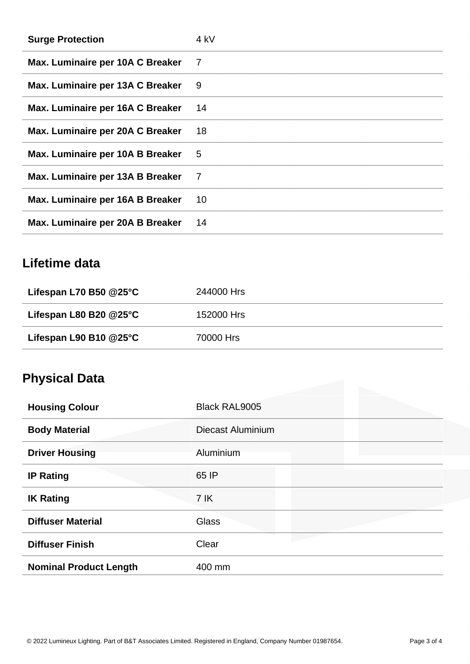| <b>Surge Protection</b>          | 4 kV |
|----------------------------------|------|
| Max. Luminaire per 10A C Breaker | 7    |
| Max. Luminaire per 13A C Breaker | 9    |
| Max. Luminaire per 16A C Breaker | 14   |
| Max. Luminaire per 20A C Breaker | 18   |
| Max. Luminaire per 10A B Breaker | 5    |
| Max. Luminaire per 13A B Breaker | 7    |
| Max. Luminaire per 16A B Breaker | 10   |
| Max. Luminaire per 20A B Breaker | 14   |

## **Lifetime data**

| Lifespan L70 B50 $@25^\circ \text{C}$ | 244000 Hrs |
|---------------------------------------|------------|
| Lifespan L80 B20 $@25^\circ \text{C}$ | 152000 Hrs |
| Lifespan L90 B10 $@25^\circ C$        | 70000 Hrs  |

# **Physical Data**

| <b>Housing Colour</b>         | <b>Black RAL9005</b> |
|-------------------------------|----------------------|
| <b>Body Material</b>          | Diecast Aluminium    |
| <b>Driver Housing</b>         | Aluminium            |
| <b>IP Rating</b>              | 65 IP                |
| <b>IK Rating</b>              | 7 IK                 |
| <b>Diffuser Material</b>      | <b>Glass</b>         |
| <b>Diffuser Finish</b>        | Clear                |
| <b>Nominal Product Length</b> | 400 mm               |